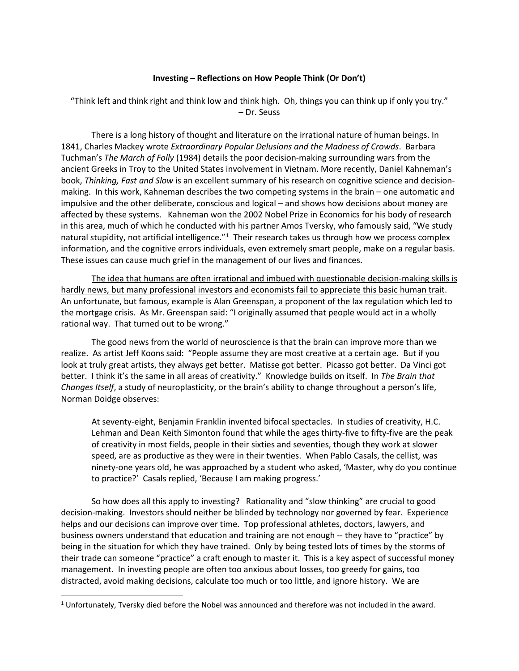# **Investing – Reflections on How People Think (Or Don't)**

"Think left and think right and think low and think high. Oh, things you can think up if only you try." – Dr. Seuss

There is a long history of thought and literature on the irrational nature of human beings. In 1841, Charles Mackey wrote *Extraordinary Popular Delusions and the Madness of Crowds*. Barbara Tuchman's *The March of Folly* (1984) details the poor decision-making surrounding wars from the ancient Greeks in Troy to the United States involvement in Vietnam. More recently, Daniel Kahneman's book, *Thinking, Fast and Slow* is an excellent summary of his research on cognitive science and decisionmaking. In this work, Kahneman describes the two competing systems in the brain – one automatic and impulsive and the other deliberate, conscious and logical – and shows how decisions about money are affected by these systems. Kahneman won the 2002 Nobel Prize in Economics for his body of research in this area, much of which he conducted with his partner Amos Tversky, who famously said, "We study natural stupidity, not artificial intelligence."<sup>[1](#page-0-0)</sup> Their research takes us through how we process complex information, and the cognitive errors individuals, even extremely smart people, make on a regular basis. These issues can cause much grief in the management of our lives and finances.

The idea that humans are often irrational and imbued with questionable decision-making skills is hardly news, but many professional investors and economists fail to appreciate this basic human trait. An unfortunate, but famous, example is Alan Greenspan, a proponent of the lax regulation which led to the mortgage crisis. As Mr. Greenspan said: "I originally assumed that people would act in a wholly rational way. That turned out to be wrong."

The good news from the world of neuroscience is that the brain can improve more than we realize. As artist Jeff Koons said: "People assume they are most creative at a certain age. But if you look at truly great artists, they always get better. Matisse got better. Picasso got better. Da Vinci got better. I think it's the same in all areas of creativity." Knowledge builds on itself. In *The Brain that Changes Itself*, a study of neuroplasticity, or the brain's ability to change throughout a person's life, Norman Doidge observes:

At seventy-eight, Benjamin Franklin invented bifocal spectacles. In studies of creativity, H.C. Lehman and Dean Keith Simonton found that while the ages thirty-five to fifty-five are the peak of creativity in most fields, people in their sixties and seventies, though they work at slower speed, are as productive as they were in their twenties. When Pablo Casals, the cellist, was ninety-one years old, he was approached by a student who asked, 'Master, why do you continue to practice?' Casals replied, 'Because I am making progress.'

So how does all this apply to investing? Rationality and "slow thinking" are crucial to good decision-making. Investors should neither be blinded by technology nor governed by fear. Experience helps and our decisions can improve over time. Top professional athletes, doctors, lawyers, and business owners understand that education and training are not enough -- they have to "practice" by being in the situation for which they have trained. Only by being tested lots of times by the storms of their trade can someone "practice" a craft enough to master it. This is a key aspect of successful money management. In investing people are often too anxious about losses, too greedy for gains, too distracted, avoid making decisions, calculate too much or too little, and ignore history. We are

<span id="page-0-0"></span> $1$  Unfortunately, Tversky died before the Nobel was announced and therefore was not included in the award.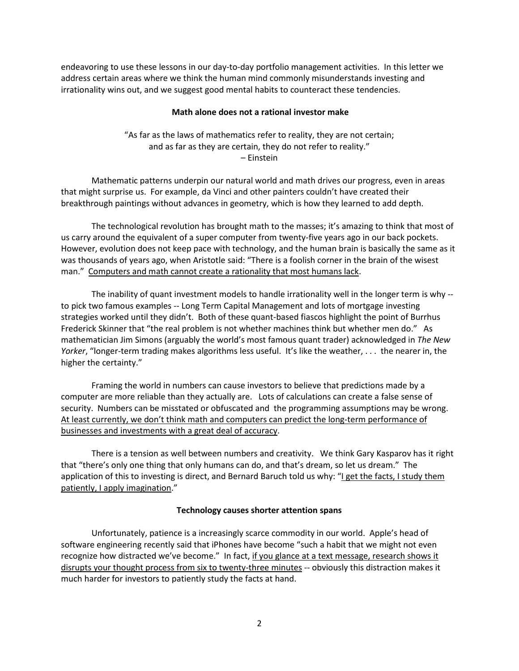endeavoring to use these lessons in our day-to-day portfolio management activities. In this letter we address certain areas where we think the human mind commonly misunderstands investing and irrationality wins out, and we suggest good mental habits to counteract these tendencies.

# **Math alone does not a rational investor make**

"As far as the laws of mathematics refer to reality, they are not certain; and as far as they are certain, they do not refer to reality." – Einstein

Mathematic patterns underpin our natural world and math drives our progress, even in areas that might surprise us. For example, da Vinci and other painters couldn't have created their breakthrough paintings without advances in geometry, which is how they learned to add depth.

The technological revolution has brought math to the masses; it's amazing to think that most of us carry around the equivalent of a super computer from twenty-five years ago in our back pockets. However, evolution does not keep pace with technology, and the human brain is basically the same as it was thousands of years ago, when Aristotle said: "There is a foolish corner in the brain of the wisest man." Computers and math cannot create a rationality that most humans lack.

The inability of quant investment models to handle irrationality well in the longer term is why - to pick two famous examples -- Long Term Capital Management and lots of mortgage investing strategies worked until they didn't. Both of these quant-based fiascos highlight the point of Burrhus Frederick Skinner that "the real problem is not whether machines think but whether men do." As mathematician Jim Simons (arguably the world's most famous quant trader) acknowledged in *The New Yorker*, "longer-term trading makes algorithms less useful. It's like the weather, . . . the nearer in, the higher the certainty."

Framing the world in numbers can cause investors to believe that predictions made by a computer are more reliable than they actually are. Lots of calculations can create a false sense of security. Numbers can be misstated or obfuscated and the programming assumptions may be wrong. At least currently, we don't think math and computers can predict the long-term performance of businesses and investments with a great deal of accuracy.

There is a tension as well between numbers and creativity. We think Gary Kasparov has it right that "there's only one thing that only humans can do, and that's dream, so let us dream." The application of this to investing is direct, and Bernard Baruch told us why: "I get the facts, I study them patiently, I apply imagination."

# **Technology causes shorter attention spans**

Unfortunately, patience is a increasingly scarce commodity in our world. Apple's head of software engineering recently said that iPhones have become "such a habit that we might not even recognize how distracted we've become." In fact, if you glance at a text message, research shows it disrupts your thought process from six to twenty-three minutes -- obviously this distraction makes it much harder for investors to patiently study the facts at hand.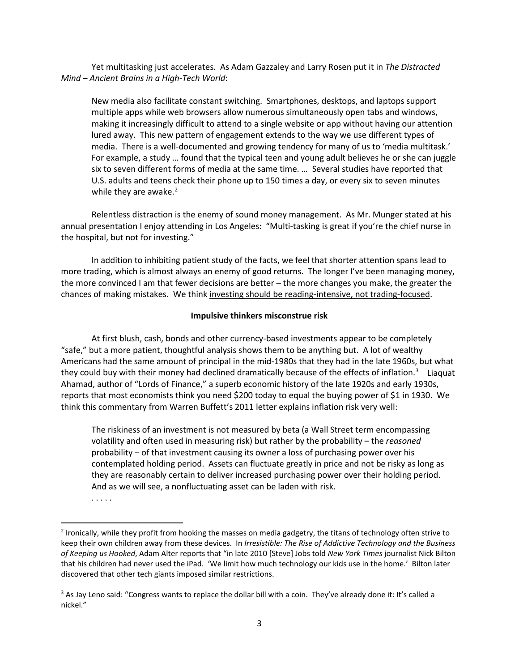Yet multitasking just accelerates. As Adam Gazzaley and Larry Rosen put it in *The Distracted Mind – Ancient Brains in a High-Tech World*:

New media also facilitate constant switching. Smartphones, desktops, and laptops support multiple apps while web browsers allow numerous simultaneously open tabs and windows, making it increasingly difficult to attend to a single website or app without having our attention lured away. This new pattern of engagement extends to the way we use different types of media. There is a well-documented and growing tendency for many of us to 'media multitask.' For example, a study … found that the typical teen and young adult believes he or she can juggle six to seven different forms of media at the same time. … Several studies have reported that U.S. adults and teens check their phone up to 150 times a day, or every six to seven minutes while they are awake. $2$ 

Relentless distraction is the enemy of sound money management. As Mr. Munger stated at his annual presentation I enjoy attending in Los Angeles: "Multi-tasking is great if you're the chief nurse in the hospital, but not for investing."

In addition to inhibiting patient study of the facts, we feel that shorter attention spans lead to more trading, which is almost always an enemy of good returns. The longer I've been managing money, the more convinced I am that fewer decisions are better – the more changes you make, the greater the chances of making mistakes. We think investing should be reading-intensive, not trading-focused.

# **Impulsive thinkers misconstrue risk**

At first blush, cash, bonds and other currency-based investments appear to be completely "safe," but a more patient, thoughtful analysis shows them to be anything but. A lot of wealthy Americans had the same amount of principal in the mid-1980s that they had in the late 1960s, but what they could buy with their money had declined dramatically because of the effects of inflation.<sup>[3](#page-2-1)</sup> Liaquat Ahamad, author of "Lords of Finance," a superb economic history of the late 1920s and early 1930s, reports that most economists think you need \$200 today to equal the buying power of \$1 in 1930. We think this commentary from Warren Buffett's 2011 letter explains inflation risk very well:

The riskiness of an investment is not measured by beta (a Wall Street term encompassing volatility and often used in measuring risk) but rather by the probability – the *reasoned* probability – of that investment causing its owner a loss of purchasing power over his contemplated holding period. Assets can fluctuate greatly in price and not be risky as long as they are reasonably certain to deliver increased purchasing power over their holding period. And as we will see, a nonfluctuating asset can be laden with risk.

. . . . .

<span id="page-2-0"></span> $<sup>2</sup>$  Ironically, while they profit from hooking the masses on media gadgetry, the titans of technology often strive to</sup> keep their own children away from these devices. In *Irresistible: The Rise of Addictive Technology and the Business of Keeping us Hooked*, Adam Alter reports that "in late 2010 [Steve] Jobs told *New York Times* journalist Nick Bilton that his children had never used the iPad. 'We limit how much technology our kids use in the home.' Bilton later discovered that other tech giants imposed similar restrictions.

<span id="page-2-1"></span><sup>&</sup>lt;sup>3</sup> As Jay Leno said: "Congress wants to replace the dollar bill with a coin. They've already done it: It's called a nickel<sup>"</sup>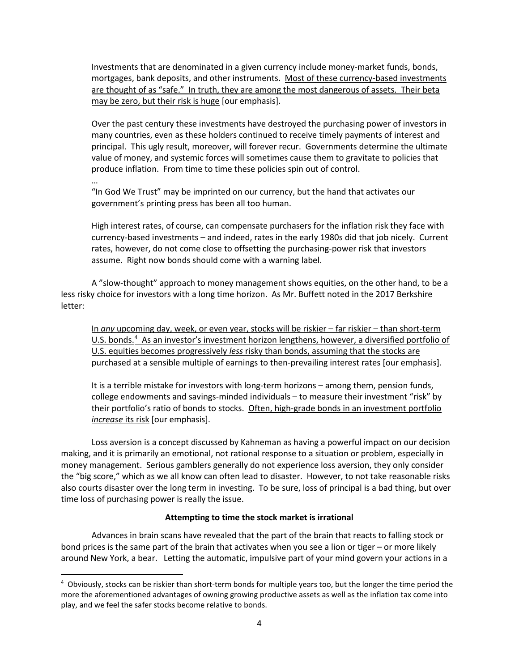Investments that are denominated in a given currency include money-market funds, bonds, mortgages, bank deposits, and other instruments. Most of these currency-based investments are thought of as "safe." In truth, they are among the most dangerous of assets. Their beta may be zero, but their risk is huge [our emphasis].

Over the past century these investments have destroyed the purchasing power of investors in many countries, even as these holders continued to receive timely payments of interest and principal. This ugly result, moreover, will forever recur. Governments determine the ultimate value of money, and systemic forces will sometimes cause them to gravitate to policies that produce inflation. From time to time these policies spin out of control.

… "In God We Trust" may be imprinted on our currency, but the hand that activates our government's printing press has been all too human.

High interest rates, of course, can compensate purchasers for the inflation risk they face with currency-based investments – and indeed, rates in the early 1980s did that job nicely. Current rates, however, do not come close to offsetting the purchasing-power risk that investors assume. Right now bonds should come with a warning label.

A "slow-thought" approach to money management shows equities, on the other hand, to be a less risky choice for investors with a long time horizon. As Mr. Buffett noted in the 2017 Berkshire letter:

In *any* upcoming day, week, or even year, stocks will be riskier – far riskier – than short-term U.S. bonds.<sup>[4](#page-3-0)</sup> As an investor's investment horizon lengthens, however, a diversified portfolio of U.S. equities becomes progressively *less* risky than bonds, assuming that the stocks are purchased at a sensible multiple of earnings to then-prevailing interest rates [our emphasis].

It is a terrible mistake for investors with long-term horizons – among them, pension funds, college endowments and savings-minded individuals – to measure their investment "risk" by their portfolio's ratio of bonds to stocks. Often, high-grade bonds in an investment portfolio *increase* its risk [our emphasis].

Loss aversion is a concept discussed by Kahneman as having a powerful impact on our decision making, and it is primarily an emotional, not rational response to a situation or problem, especially in money management. Serious gamblers generally do not experience loss aversion, they only consider the "big score," which as we all know can often lead to disaster. However, to not take reasonable risks also courts disaster over the long term in investing. To be sure, loss of principal is a bad thing, but over time loss of purchasing power is really the issue.

# **Attempting to time the stock market is irrational**

Advances in brain scans have revealed that the part of the brain that reacts to falling stock or bond prices is the same part of the brain that activates when you see a lion or tiger – or more likely around New York, a bear. Letting the automatic, impulsive part of your mind govern your actions in a

<span id="page-3-0"></span> <sup>4</sup> Obviously, stocks can be riskier than short-term bonds for multiple years too, but the longer the time period the more the aforementioned advantages of owning growing productive assets as well as the inflation tax come into play, and we feel the safer stocks become relative to bonds.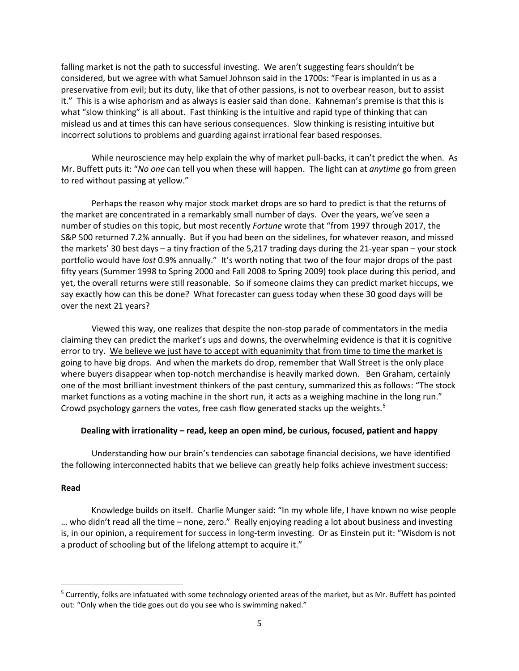falling market is not the path to successful investing. We aren't suggesting fears shouldn't be considered, but we agree with what Samuel Johnson said in the 1700s: "Fear is implanted in us as a preservative from evil; but its duty, like that of other passions, is not to overbear reason, but to assist it." This is a wise aphorism and as always is easier said than done. Kahneman's premise is that this is what "slow thinking" is all about. Fast thinking is the intuitive and rapid type of thinking that can mislead us and at times this can have serious consequences. Slow thinking is resisting intuitive but incorrect solutions to problems and guarding against irrational fear based responses.

While neuroscience may help explain the why of market pull-backs, it can't predict the when. As Mr. Buffett puts it: "*No one* can tell you when these will happen. The light can at *anytime* go from green to red without passing at yellow."

Perhaps the reason why major stock market drops are so hard to predict is that the returns of the market are concentrated in a remarkably small number of days. Over the years, we've seen a number of studies on this topic, but most recently *Fortune* wrote that "from 1997 through 2017, the S&P 500 returned 7.2% annually. But if you had been on the sidelines, for whatever reason, and missed the markets' 30 best days – a tiny fraction of the 5,217 trading days during the 21-year span – your stock portfolio would have *lost* 0.9% annually." It's worth noting that two of the four major drops of the past fifty years (Summer 1998 to Spring 2000 and Fall 2008 to Spring 2009) took place during this period, and yet, the overall returns were still reasonable. So if someone claims they can predict market hiccups, we say exactly how can this be done? What forecaster can guess today when these 30 good days will be over the next 21 years?

Viewed this way, one realizes that despite the non-stop parade of commentators in the media claiming they can predict the market's ups and downs, the overwhelming evidence is that it is cognitive error to try. We believe we just have to accept with equanimity that from time to time the market is going to have big drops. And when the markets do drop, remember that Wall Street is the only place where buyers disappear when top-notch merchandise is heavily marked down. Ben Graham, certainly one of the most brilliant investment thinkers of the past century, summarized this as follows: "The stock market functions as a voting machine in the short run, it acts as a weighing machine in the long run." Crowd psychology garners the votes, free cash flow generated stacks up the weights.<sup>[5](#page-4-0)</sup>

# **Dealing with irrationality – read, keep an open mind, be curious, focused, patient and happy**

Understanding how our brain's tendencies can sabotage financial decisions, we have identified the following interconnected habits that we believe can greatly help folks achieve investment success:

# **Read**

Knowledge builds on itself. Charlie Munger said: "In my whole life, I have known no wise people … who didn't read all the time – none, zero." Really enjoying reading a lot about business and investing is, in our opinion, a requirement for success in long-term investing. Or as Einstein put it: "Wisdom is not a product of schooling but of the lifelong attempt to acquire it."

<span id="page-4-0"></span> <sup>5</sup> Currently, folks are infatuated with some technology oriented areas of the market, but as Mr. Buffett has pointed out: "Only when the tide goes out do you see who is swimming naked."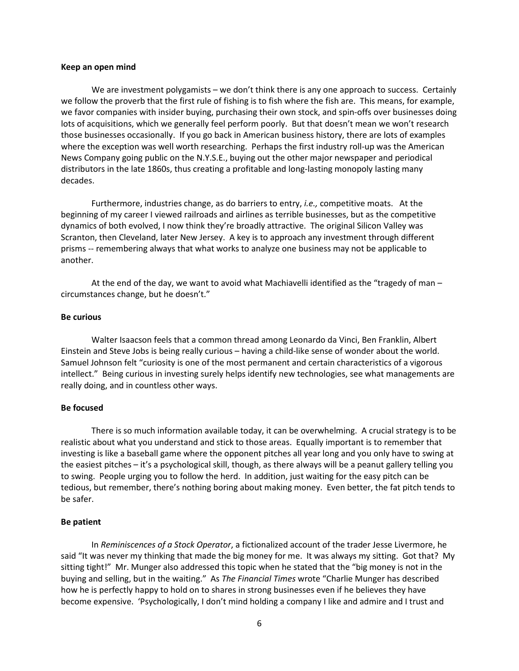#### **Keep an open mind**

We are investment polygamists – we don't think there is any one approach to success. Certainly we follow the proverb that the first rule of fishing is to fish where the fish are. This means, for example, we favor companies with insider buying, purchasing their own stock, and spin-offs over businesses doing lots of acquisitions, which we generally feel perform poorly. But that doesn't mean we won't research those businesses occasionally. If you go back in American business history, there are lots of examples where the exception was well worth researching. Perhaps the first industry roll-up was the American News Company going public on the N.Y.S.E., buying out the other major newspaper and periodical distributors in the late 1860s, thus creating a profitable and long-lasting monopoly lasting many decades.

Furthermore, industries change, as do barriers to entry, *i.e.,* competitive moats. At the beginning of my career I viewed railroads and airlines as terrible businesses, but as the competitive dynamics of both evolved, I now think they're broadly attractive. The original Silicon Valley was Scranton, then Cleveland, later New Jersey. A key is to approach any investment through different prisms -- remembering always that what works to analyze one business may not be applicable to another.

At the end of the day, we want to avoid what Machiavelli identified as the "tragedy of man – circumstances change, but he doesn't."

### **Be curious**

Walter Isaacson feels that a common thread among Leonardo da Vinci, Ben Franklin, Albert Einstein and Steve Jobs is being really curious – having a child-like sense of wonder about the world. Samuel Johnson felt "curiosity is one of the most permanent and certain characteristics of a vigorous intellect." Being curious in investing surely helps identify new technologies, see what managements are really doing, and in countless other ways.

### **Be focused**

There is so much information available today, it can be overwhelming. A crucial strategy is to be realistic about what you understand and stick to those areas. Equally important is to remember that investing is like a baseball game where the opponent pitches all year long and you only have to swing at the easiest pitches – it's a psychological skill, though, as there always will be a peanut gallery telling you to swing. People urging you to follow the herd. In addition, just waiting for the easy pitch can be tedious, but remember, there's nothing boring about making money. Even better, the fat pitch tends to be safer.

### **Be patient**

In *Reminiscences of a Stock Operator*, a fictionalized account of the trader Jesse Livermore, he said "It was never my thinking that made the big money for me. It was always my sitting. Got that? My sitting tight!" Mr. Munger also addressed this topic when he stated that the "big money is not in the buying and selling, but in the waiting." As *The Financial Times* wrote "Charlie Munger has described how he is perfectly happy to hold on to shares in strong businesses even if he believes they have become expensive. 'Psychologically, I don't mind holding a company I like and admire and I trust and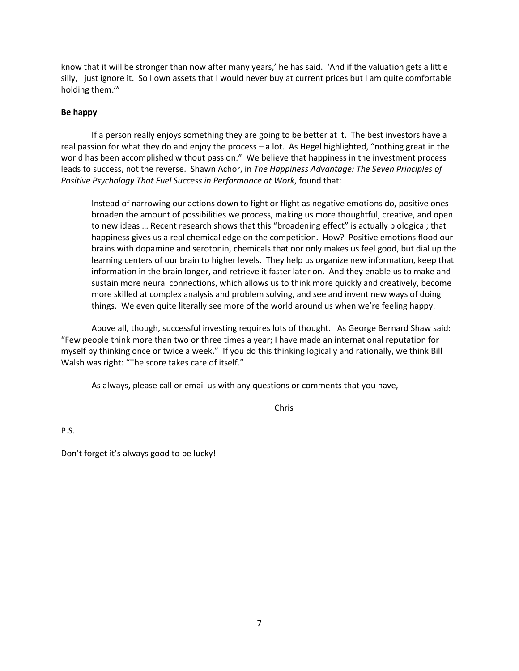know that it will be stronger than now after many years,' he has said. 'And if the valuation gets a little silly, I just ignore it. So I own assets that I would never buy at current prices but I am quite comfortable holding them.'"

# **Be happy**

If a person really enjoys something they are going to be better at it. The best investors have a real passion for what they do and enjoy the process – a lot. As Hegel highlighted, "nothing great in the world has been accomplished without passion." We believe that happiness in the investment process leads to success, not the reverse. Shawn Achor, in *The Happiness Advantage: The Seven Principles of Positive Psychology That Fuel Success in Performance at Work*, found that:

Instead of narrowing our actions down to fight or flight as negative emotions do, positive ones broaden the amount of possibilities we process, making us more thoughtful, creative, and open to new ideas … Recent research shows that this "broadening effect" is actually biological; that happiness gives us a real chemical edge on the competition. How? Positive emotions flood our brains with dopamine and serotonin, chemicals that nor only makes us feel good, but dial up the learning centers of our brain to higher levels. They help us organize new information, keep that information in the brain longer, and retrieve it faster later on. And they enable us to make and sustain more neural connections, which allows us to think more quickly and creatively, become more skilled at complex analysis and problem solving, and see and invent new ways of doing things. We even quite literally see more of the world around us when we're feeling happy.

Above all, though, successful investing requires lots of thought. As George Bernard Shaw said: "Few people think more than two or three times a year; I have made an international reputation for myself by thinking once or twice a week." If you do this thinking logically and rationally, we think Bill Walsh was right: "The score takes care of itself."

As always, please call or email us with any questions or comments that you have,

Chris

P.S.

Don't forget it's always good to be lucky!